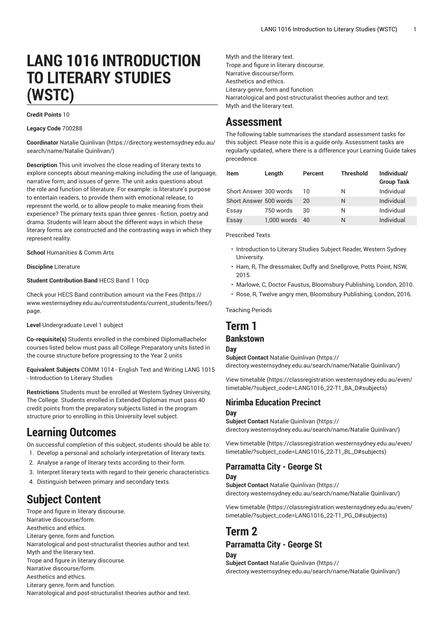# **LANG 1016 INTRODUCTION TO LITERARY STUDIES (WSTC)**

#### **Credit Points** 10

**Legacy Code** 700288

**Coordinator** Natalie [Quinlivan](https://directory.westernsydney.edu.au/search/name/Natalie Quinlivan/) [\(https://directory.westernsydney.edu.au/](https://directory.westernsydney.edu.au/search/name/Natalie Quinlivan/) [search/name/Natalie](https://directory.westernsydney.edu.au/search/name/Natalie Quinlivan/) Quinlivan/)

**Description** This unit involves the close reading of literary texts to explore concepts about meaning-making including the use of language, narrative form, and issues of genre. The unit asks questions about the role and function of literature. For example: is literature's purpose to entertain readers, to provide them with emotional release, to represent the world, or to allow people to make meaning from their experience? The primary texts span three genres - fiction, poetry and drama. Students will learn about the different ways in which these literary forms are constructed and the contrasting ways in which they represent reality.

**School** Humanities & Comm Arts

**Discipline** Literature

#### **Student Contribution Band** HECS Band 1 10cp

Check your HECS Band contribution amount via the [Fees \(https://](https://www.westernsydney.edu.au/currentstudents/current_students/fees/) [www.westernsydney.edu.au/currentstudents/current\\_students/fees/\)](https://www.westernsydney.edu.au/currentstudents/current_students/fees/) page.

**Level** Undergraduate Level 1 subject

**Co-requisite(s)** Students enrolled in the combined DiplomaBachelor courses listed below must pass all College Preparatory units listed in the course structure before progressing to the Year 2 units

**Equivalent Subjects** COMM 1014 - English Text and Writing [LANG](/search/?P=LANG%201015) 1015 - Introduction to Literary Studies

**Restrictions** Students must be enrolled at Western Sydney University, The College. Students enrolled in Extended Diplomas must pass 40 credit points from the preparatory subjects listed in the program structure prior to enrolling in this University level subject.

# **Learning Outcomes**

On successful completion of this subject, students should be able to: 1. Develop a personal and scholarly interpretation of literary texts.

- 2. Analyse a range of literary texts according to their form.
- 3. Interpret literary texts with regard to their generic characteristics.
- 4. Distinguish between primary and secondary texts.

# **Subject Content**

Trope and figure in literary discourse. Narrative discourse/form. Aesthetics and ethics. Literary genre, form and function. Narratological and post-structuralist theories author and text. Myth and the literary text. Trope and figure in literary discourse. Narrative discourse/form. Aesthetics and ethics. Literary genre, form and function. Narratological and post-structuralist theories author and text. Myth and the literary text. Trope and figure in literary discourse. Narrative discourse/form. Aesthetics and ethics. Literary genre, form and function. Narratological and post-structuralist theories author and text. Myth and the literary text.

## **Assessment**

The following table summarises the standard assessment tasks for this subject. Please note this is a guide only. Assessment tasks are regularly updated, where there is a difference your Learning Guide takes precedence.

| Item                   | Length      | Percent | <b>Threshold</b> | Individual/<br><b>Group Task</b> |
|------------------------|-------------|---------|------------------|----------------------------------|
| Short Answer 300 words |             | 10      | N                | Individual                       |
| Short Answer 500 words |             | 20      | N                | Individual                       |
| Essay                  | 750 words   | 30      | N                | Individual                       |
| Essay                  | 1,000 words | 40      | N                | Individual                       |

Prescribed Texts

- Introduction to Literary Studies Subject Reader, Western Sydney **University**
- Ham, R, The dressmaker, Duffy and Snellgrove, Potts Point, NSW, 2015.
- Marlowe, C, Doctor Faustus, Bloomsbury Publishing, London, 2010.
- Rose, R, Twelve angry men, Bloomsbury Publishing, London, 2016.

Teaching Periods

# **Term 1**

## **Bankstown**

#### **Day**

**Subject Contact** Natalie [Quinlivan \(https://](https://directory.westernsydney.edu.au/search/name/Natalie Quinlivan/) [directory.westernsydney.edu.au/search/name/Natalie](https://directory.westernsydney.edu.au/search/name/Natalie Quinlivan/) Quinlivan/)

[View timetable](https://classregistration.westernsydney.edu.au/even/timetable/?subject_code=LANG1016_22-T1_BA_D#subjects) [\(https://classregistration.westernsydney.edu.au/even/](https://classregistration.westernsydney.edu.au/even/timetable/?subject_code=LANG1016_22-T1_BA_D#subjects) [timetable/?subject\\_code=LANG1016\\_22-T1\\_BA\\_D#subjects\)](https://classregistration.westernsydney.edu.au/even/timetable/?subject_code=LANG1016_22-T1_BA_D#subjects)

## **Nirimba Education Precinct**

#### **Day**

**Subject Contact** Natalie [Quinlivan \(https://](https://directory.westernsydney.edu.au/search/name/Natalie Quinlivan/) [directory.westernsydney.edu.au/search/name/Natalie](https://directory.westernsydney.edu.au/search/name/Natalie Quinlivan/) Quinlivan/)

[View timetable](https://classregistration.westernsydney.edu.au/even/timetable/?subject_code=LANG1016_22-T1_BL_D#subjects) [\(https://classregistration.westernsydney.edu.au/even/](https://classregistration.westernsydney.edu.au/even/timetable/?subject_code=LANG1016_22-T1_BL_D#subjects) [timetable/?subject\\_code=LANG1016\\_22-T1\\_BL\\_D#subjects\)](https://classregistration.westernsydney.edu.au/even/timetable/?subject_code=LANG1016_22-T1_BL_D#subjects)

#### **Parramatta City - George St Day**

**Subject Contact** Natalie [Quinlivan \(https://](https://directory.westernsydney.edu.au/search/name/Natalie Quinlivan/) [directory.westernsydney.edu.au/search/name/Natalie](https://directory.westernsydney.edu.au/search/name/Natalie Quinlivan/) Quinlivan/)

[View timetable](https://classregistration.westernsydney.edu.au/even/timetable/?subject_code=LANG1016_22-T1_PG_D#subjects) [\(https://classregistration.westernsydney.edu.au/even/](https://classregistration.westernsydney.edu.au/even/timetable/?subject_code=LANG1016_22-T1_PG_D#subjects) [timetable/?subject\\_code=LANG1016\\_22-T1\\_PG\\_D#subjects\)](https://classregistration.westernsydney.edu.au/even/timetable/?subject_code=LANG1016_22-T1_PG_D#subjects)

# **Term 2**

### **Parramatta City - George St**

#### **Day**

**Subject Contact** Natalie [Quinlivan \(https://](https://directory.westernsydney.edu.au/search/name/Natalie Quinlivan/) [directory.westernsydney.edu.au/search/name/Natalie](https://directory.westernsydney.edu.au/search/name/Natalie Quinlivan/) Quinlivan/)